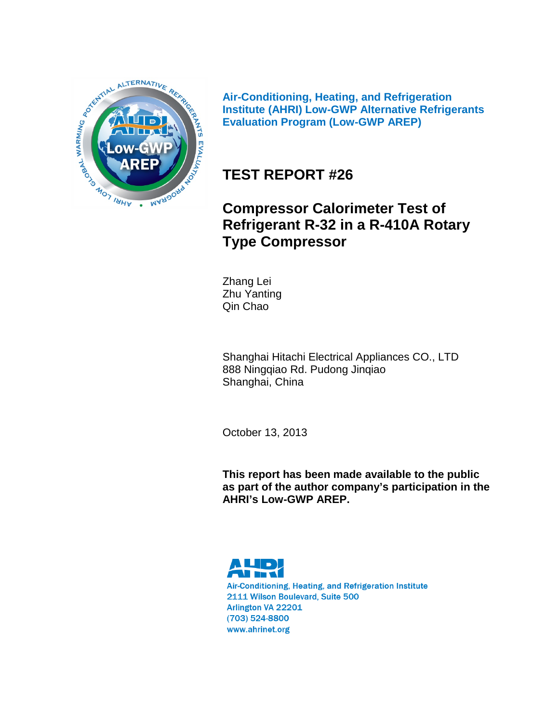

**Air-Conditioning, Heating, and Refrigeration Institute (AHRI) Low-GWP Alternative Refrigerants Evaluation Program (Low-GWP AREP)**

# **TEST REPORT #26**

# **Compressor Calorimeter Test of Refrigerant R-32 in a R-410A Rotary Type Compressor**

Zhang Lei Zhu Yanting Qin Chao

Shanghai Hitachi Electrical Appliances CO., LTD 888 Ningqiao Rd. Pudong Jinqiao Shanghai, China

October 13, 2013

**This report has been made available to the public as part of the author company's participation in the AHRI's Low-GWP AREP.**



Air-Conditioning, Heating, and Refrigeration Institute 2111 Wilson Boulevard, Suite 500 Arlington VA 22201 (703) 524-8800 www.ahrinet.org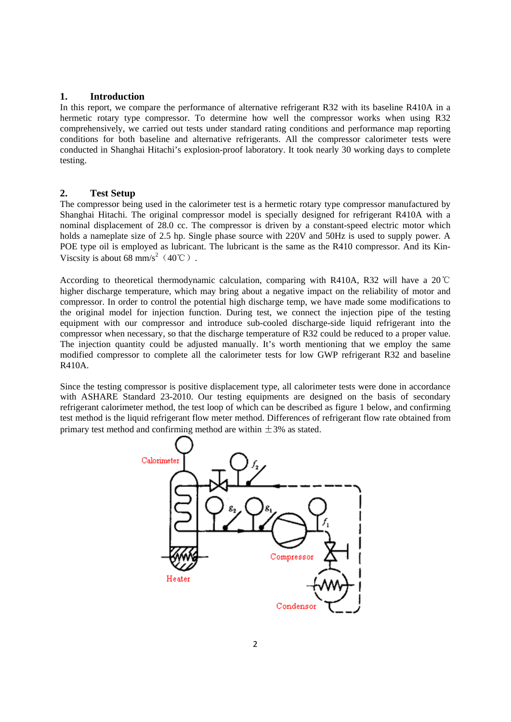### **1. Introduction**

In this report, we compare the performance of alternative refrigerant R32 with its baseline R410A in a hermetic rotary type compressor. To determine how well the compressor works when using R32 comprehensively, we carried out tests under standard rating conditions and performance map reporting conditions for both baseline and alternative refrigerants. All the compressor calorimeter tests were conducted in Shanghai Hitachi's explosion-proof laboratory. It took nearly 30 working days to complete testing.

#### **2. Test Setup**

The compressor being used in the calorimeter test is a hermetic rotary type compressor manufactured by Shanghai Hitachi. The original compressor model is specially designed for refrigerant R410A with a nominal displacement of 28.0 cc. The compressor is driven by a constant-speed electric motor which holds a nameplate size of 2.5 hp. Single phase source with 220V and 50Hz is used to supply power. A POE type oil is employed as lubricant. The lubricant is the same as the R410 compressor. And its Kin-Viscsity is about 68 mm/s<sup>2</sup> (40°C).

According to theoretical thermodynamic calculation, comparing with R410A, R32 will have a 20℃ higher discharge temperature, which may bring about a negative impact on the reliability of motor and compressor. In order to control the potential high discharge temp, we have made some modifications to the original model for injection function. During test, we connect the injection pipe of the testing equipment with our compressor and introduce sub-cooled discharge-side liquid refrigerant into the compressor when necessary, so that the discharge temperature of R32 could be reduced to a proper value. The injection quantity could be adjusted manually. It's worth mentioning that we employ the same modified compressor to complete all the calorimeter tests for low GWP refrigerant R32 and baseline R410A.

Since the testing compressor is positive displacement type, all calorimeter tests were done in accordance with ASHARE Standard 23-2010. Our testing equipments are designed on the basis of secondary refrigerant calorimeter method, the test loop of which can be described as figure 1 below, and confirming test method is the liquid refrigerant flow meter method. Differences of refrigerant flow rate obtained from primary test method and confirming method are within  $\pm$ 3% as stated.

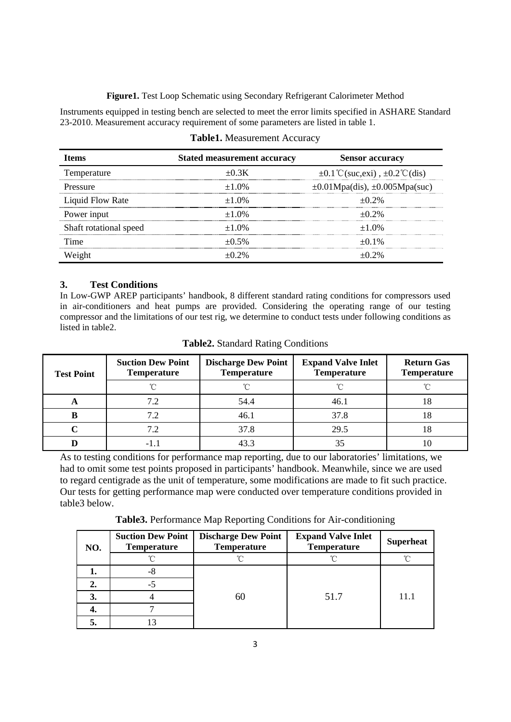**Figure1.** Test Loop Schematic using Secondary Refrigerant Calorimeter Method

Instruments equipped in testing bench are selected to meet the error limits specified in ASHARE Standard 23-2010. Measurement accuracy requirement of some parameters are listed in table 1.

| <b>Items</b>           | <b>Stated measurement accuracy</b> | <b>Sensor accuracy</b>                                 |
|------------------------|------------------------------------|--------------------------------------------------------|
| Temperature            | $\pm 0.3K$                         | $\pm 0.1^{\circ}$ C(suc,exi), $\pm 0.2^{\circ}$ C(dis) |
| <b>Pressure</b>        | $\pm 1.0\%$                        | $\pm 0.01$ Mpa(dis), $\pm 0.005$ Mpa(suc)              |
| Liquid Flow Rate       | $\pm 1.0\%$                        | $+0.2\%$                                               |
| Power input            | $\pm 1.0\%$                        | $+0.2\%$                                               |
| Shaft rotational speed | $\pm 1.0\%$                        | $+1.0%$                                                |
| Time                   | $\pm 0.5\%$                        | $+0.1\%$                                               |
| Weight                 | $+0.2\%$                           | $+0.2\%$                                               |

# **3. Test Conditions**

In Low-GWP AREP participants' handbook, 8 different standard rating conditions for compressors used in air-conditioners and heat pumps are provided. Considering the operating range of our testing compressor and the limitations of our test rig, we determine to conduct tests under following conditions as listed in table2.

| <b>Test Point</b> | <b>Suction Dew Point</b><br><b>Temperature</b> | <b>Discharge Dew Point</b><br><b>Temperature</b> | <b>Expand Valve Inlet</b><br><b>Temperature</b> | <b>Return Gas</b><br><b>Temperature</b> |  |
|-------------------|------------------------------------------------|--------------------------------------------------|-------------------------------------------------|-----------------------------------------|--|
|                   |                                                |                                                  |                                                 |                                         |  |
| A                 |                                                | 54.4                                             | 46.1                                            |                                         |  |
| в                 | 7.2                                            | 46.1                                             | 37.8                                            | Ιŏ                                      |  |
|                   |                                                | 37.8                                             | 29.5                                            |                                         |  |
|                   | - 1                                            | 43.3                                             |                                                 |                                         |  |

**Table2.** Standard Rating Conditions

As to testing conditions for performance map reporting, due to our laboratories' limitations, we had to omit some test points proposed in participants' handbook. Meanwhile, since we are used to regard centigrade as the unit of temperature, some modifications are made to fit such practice. Our tests for getting performance map were conducted over temperature conditions provided in table3 below.

**Table3.** Performance Map Reporting Conditions for Air-conditioning

| NO. | <b>Suction Dew Point</b><br><b>Temperature</b> | <b>Discharge Dew Point</b><br><b>Temperature</b> | <b>Expand Valve Inlet</b><br><b>Temperature</b> | <b>Superheat</b> |
|-----|------------------------------------------------|--------------------------------------------------|-------------------------------------------------|------------------|
|     |                                                |                                                  |                                                 | ∽                |
|     | -8                                             |                                                  |                                                 |                  |
|     |                                                |                                                  |                                                 |                  |
| 3.  |                                                | 60                                               | 51.7                                            | 11.1             |
|     |                                                |                                                  |                                                 |                  |
|     |                                                |                                                  |                                                 |                  |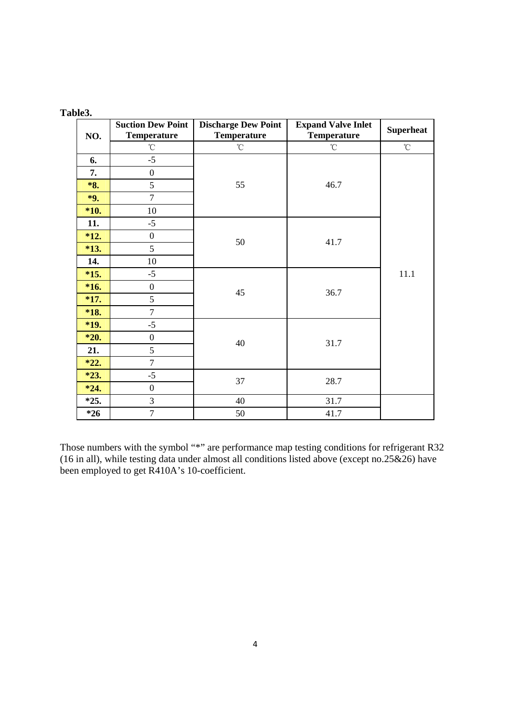| NO.    | <b>Suction Dew Point</b><br><b>Temperature</b> | <b>Discharge Dew Point</b><br>Temperature | <b>Expand Valve Inlet</b><br><b>Temperature</b> | <b>Superheat</b>  |
|--------|------------------------------------------------|-------------------------------------------|-------------------------------------------------|-------------------|
|        | $^\circ\!{\rm C}$                              | $^\circ\!{\rm C}$                         | $^\circ \! \! \mathrm{C}$                       | $^\circ\!{\rm C}$ |
| 6.     | $-5$                                           |                                           |                                                 |                   |
| 7.     | $\boldsymbol{0}$                               |                                           |                                                 |                   |
| *8.    | 5                                              | 55                                        | 46.7                                            |                   |
| *9.    | $\tau$                                         |                                           |                                                 |                   |
| *10.   | $10\,$                                         |                                           |                                                 |                   |
| 11.    | $-5$                                           |                                           |                                                 |                   |
| $*12.$ | $\boldsymbol{0}$                               | 50                                        | 41.7                                            |                   |
| $*13.$ | 5                                              |                                           |                                                 |                   |
| 14.    | 10                                             |                                           |                                                 |                   |
| $*15.$ | $-5$                                           |                                           |                                                 | 11.1              |
| $*16.$ | $\boldsymbol{0}$                               | 45                                        | 36.7                                            |                   |
| *17.   | 5                                              |                                           |                                                 |                   |
| *18.   | $\overline{7}$                                 |                                           |                                                 |                   |
| *19.   | $-5$                                           |                                           |                                                 |                   |
| $*20.$ | $\boldsymbol{0}$                               | 40                                        | 31.7                                            |                   |
| 21.    | 5                                              |                                           |                                                 |                   |
| $*22.$ | $\tau$                                         |                                           |                                                 |                   |
| $*23.$ | $-5$                                           | 37                                        | 28.7                                            |                   |
| $*24.$ | $\boldsymbol{0}$                               |                                           |                                                 |                   |
| $*25.$ | $\mathfrak{Z}$                                 | 40                                        | 31.7                                            |                   |
| $*26$  | $\overline{7}$                                 | 50                                        | 41.7                                            |                   |

Those numbers with the symbol "\*" are performance map testing conditions for refrigerant R32 (16 in all), while testing data under almost all conditions listed above (except no.25 $\&$ 26) have been employed to get R410A's 10-coefficient.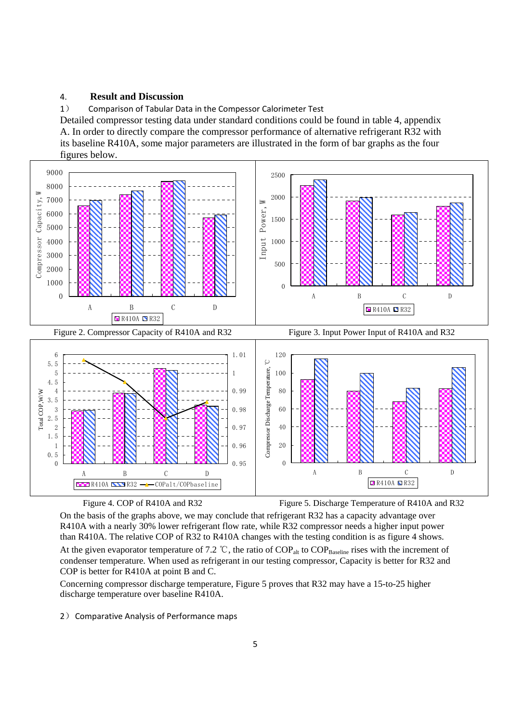#### 4. **Result and Discussion**

1) Comparison of Tabular Data in the Compessor Calorimeter Test

Detailed compressor testing data under standard conditions could be found in table 4, appendix A. In order to directly compare the compressor performance of alternative refrigerant R32 with its baseline R410A, some major parameters are illustrated in the form of bar graphs as the four figures below.





Figure 4. COP of R410A and R32 Figure 5. Discharge Temperature of R410A and R32

On the basis of the graphs above, we may conclude that refrigerant R32 has a capacity advantage over R410A with a nearly 30% lower refrigerant flow rate, while R32 compressor needs a higher input power than R410A. The relative COP of R32 to R410A changes with the testing condition is as figure 4 shows. At the given evaporator temperature of 7.2 °C, the ratio of  $COP<sub>alt</sub>$  to  $COP<sub>Basedine</sub>$  rises with the increment of condenser temperature. When used as refrigerant in our testing compressor, Capacity is better for R32 and COP is better for R410A at point B and C.

Concerning compressor discharge temperature, Figure 5 proves that R32 may have a 15-to-25 higher discharge temperature over baseline R410A.

2) Comparative Analysis of Performance maps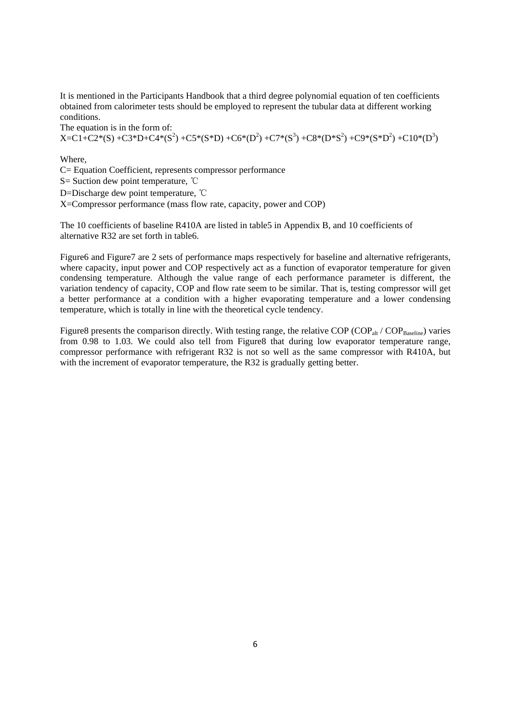It is mentioned in the Participants Handbook that a third degree polynomial equation of ten coefficients obtained from calorimeter tests should be employed to represent the tubular data at different working conditions.

The equation is in the form of:

 $X = C1 + C2*(S) + C3*D+C4*(S^2) + C5*(S*D) + C6*(D^2) + C7*(S^3) + C8*(D*S^2) + C9*(S*D^2) + C10*(D^3)$ 

Where,

C= Equation Coefficient, represents compressor performance S= Suction dew point temperature, ℃

D=Discharge dew point temperature, ℃

X=Compressor performance (mass flow rate, capacity, power and COP)

The 10 coefficients of baseline R410A are listed in table5 in Appendix B, and 10 coefficients of alternative R32 are set forth in table6.

Figure6 and Figure7 are 2 sets of performance maps respectively for baseline and alternative refrigerants, where capacity, input power and COP respectively act as a function of evaporator temperature for given condensing temperature. Although the value range of each performance parameter is different, the variation tendency of capacity, COP and flow rate seem to be similar. That is, testing compressor will get a better performance at a condition with a higher evaporating temperature and a lower condensing temperature, which is totally in line with the theoretical cycle tendency.

Figure8 presents the comparison directly. With testing range, the relative COP (COP<sub>alt</sub> / COP<sub>Baseline</sub>) varies from 0.98 to 1.03. We could also tell from Figure8 that during low evaporator temperature range, compressor performance with refrigerant R32 is not so well as the same compressor with R410A, but with the increment of evaporator temperature, the R32 is gradually getting better.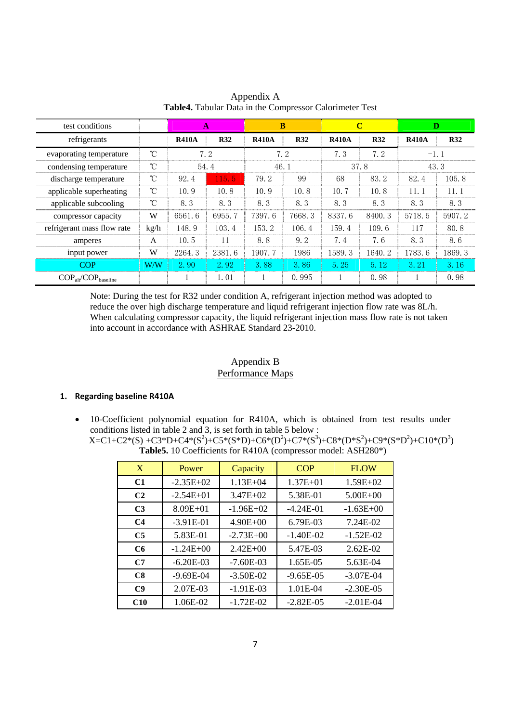| test conditions                          |      |              | $\mathbf{A}$ |              | B          |              | $\mathbf C$ |              | D          |
|------------------------------------------|------|--------------|--------------|--------------|------------|--------------|-------------|--------------|------------|
| refrigerants                             |      | <b>R410A</b> | <b>R32</b>   | <b>R410A</b> | <b>R32</b> | <b>R410A</b> | <b>R32</b>  | <b>R410A</b> | <b>R32</b> |
| evaporating temperature                  | °C   |              | 7.2          |              | 7.2        | 7.3          | 7.2         | $-1.1$       |            |
| condensing temperature                   | °C   |              | 54.4         | 46.1         |            |              | 37.8        |              | 43.3       |
| discharge temperature                    | °C   | 92.4         | 115.5        | 79.2         | 99         | 68           | 83.2        | 82.4         | 105.8      |
| applicable superheating                  | °C   | 10.9         | 10.8         | 10.9         | 10.8       | 10.7         | 10.8        | 11.1         | 11.1       |
| applicable subcooling                    | °C   | 8.3          | 8.3          | 8.3          | 8.3        | 8.3          | 8.3         | 8.3          | 8.3        |
| compressor capacity                      | W    | 6561.6       | 6955.7       | 7397.6       | 7668.3     | 8337.6       | 8400.3      | 5718.5       | 5907.2     |
| refrigerant mass flow rate               | kg/h | 148.9        | 103.4        | 153.2        | 106.4      | 159.4        | 109.6       | 117          | 80.8       |
| amperes                                  | A    | 10.5         | 11           | 8.8          | 9.2        | 7.4          | 7.6         | 8.3          | 8.6        |
| input power                              | W    | 2264.3       | 2381.6       | 1907.7       | 1986       | 1589.3       | 1640.2      | 1783.6       | 1869.3     |
| <b>COP</b>                               | W/W  | 2.90         | 2.92         | 3.88         | 3.86       | 5.25         | 5.12        | 3.21         | 3.16       |
| $COP_{\text{alt}}/COP_{\text{baseline}}$ |      |              | 1.01         |              | 0.995      |              | 0.98        |              | 0.98       |

Appendix A **Table4.** Tabular Data in the Compressor Calorimeter Test

Note: During the test for R32 under condition A, refrigerant injection method was adopted to reduce the over high discharge temperature and liquid refrigerant injection flow rate was 8L/h. When calculating compressor capacity, the liquid refrigerant injection mass flow rate is not taken into account in accordance with ASHRAE Standard 23-2010.

# Appendix B Performance Maps

# **1. Regarding baseline R410A**

• 10-Coefficient polynomial equation for R410A, which is obtained from test results under conditions listed in table 2 and 3, is set forth in table 5 below :

| $X=C1+C2*(S) +C3*D+C4*(S^2)+C5*(S*D)+C6*(D^2)+C7*(S^3)+C8*(D*S^2)+C9*(S*D^2)+C10*(D^3)$ |
|-----------------------------------------------------------------------------------------|
| <b>Table5.</b> 10 Coefficients for R410A (compressor model: ASH280*)                    |

| X              | Power         | Capacity     | <b>COP</b>   | <b>FLOW</b>    |
|----------------|---------------|--------------|--------------|----------------|
| C1             | $-2.35E+02$   | $1.13E + 04$ | $1.37E + 01$ | $1.59E + 02$   |
| C <sub>2</sub> | $-2.54E+01$   | $3.47E + 02$ | 5.38E-01     | $5.00E + 00$   |
| C <sub>3</sub> | $8.09E + 01$  | $-1.96E+02$  | $-4.24E-01$  | $-1.63E + 00$  |
| C <sub>4</sub> | $-3.91E-01$   | $4.90E + 00$ | 6.79E-03     | 7.24E-02       |
| C <sub>5</sub> | 5.83E-01      | $-2.73E+00$  | $-1.40E-02$  | $-1.52E-02$    |
| C6             | $-1.24E + 00$ | $2.42E + 00$ | 5.47E-03     | $2.62E-02$     |
| C7             | $-6.20E-03$   | $-7.60E-03$  | 1.65E-05     | 5.63E-04       |
| C8             | $-9.69E-04$   | $-3.50E-02$  | $-9.65E-05$  | $-3.07E-04$    |
| C9             | 2.07E-03      | $-1.91E-03$  | $1.01E-04$   | $-2.30E - 0.5$ |
| C10            | 1.06E-02      | $-1.72E-02$  | $-2.82E-0.5$ | $-2.01E-04$    |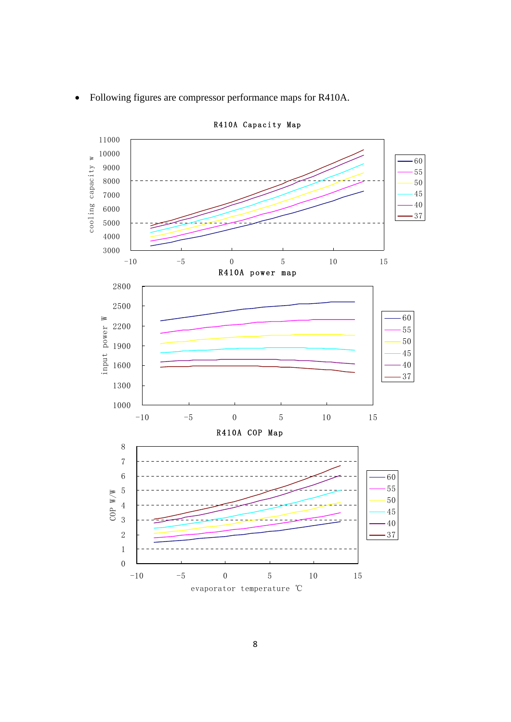

• Following figures are compressor performance maps for R410A.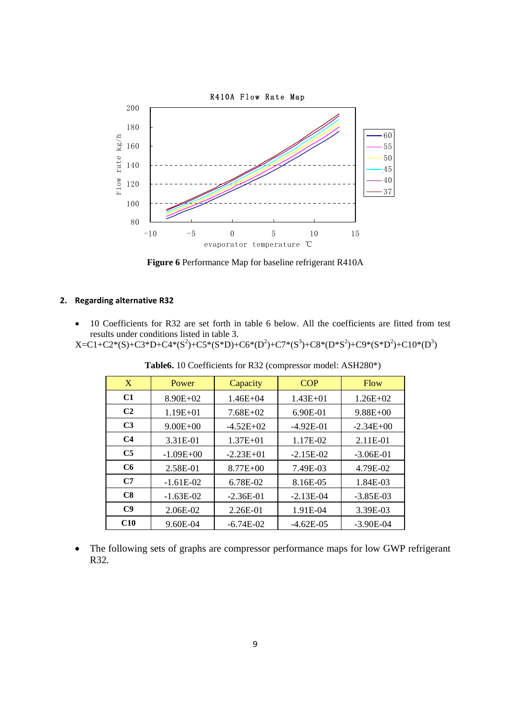

**Figure 6** Performance Map for baseline refrigerant R410A

### **2. Regarding alternative R32**

• 10 Coefficients for R32 are set forth in table 6 below. All the coefficients are fitted from test results under conditions listed in table 3.

 $X=C1+C2*(S)+C3*D+C4*(S^2)+C5*(S*D)+C6*(D^2)+C7*(S^3)+C8*(D*S^2)+C9*(S*D^2)+C10*(D^3)$ 

| X              | Power         | Capacity     | <b>COP</b>   | <b>Flow</b>  |
|----------------|---------------|--------------|--------------|--------------|
| C <sub>1</sub> | $8.90E + 02$  | $1.46E + 04$ | $1.43E + 01$ | $1.26E + 02$ |
| C <sub>2</sub> | $1.19E + 01$  | $7.68E + 02$ | 6.90E-01     | $9.88E + 00$ |
| C <sub>3</sub> | $9.00E + 00$  | $-4.52E+02$  | $-4.92E-01$  | $-2.34E+00$  |
| C <sub>4</sub> | 3.31E-01      | $1.37E + 01$ | 1.17E-02     | 2.11E-01     |
| C <sub>5</sub> | $-1.09E + 00$ | $-2.23E+01$  | $-2.15E-02$  | $-3.06E-01$  |
| C6             | 2.58E-01      | $8.77E + 00$ | 7.49E-03     | 4.79E-02     |
| C7             | $-1.61E-02$   | 6.78E-02     | 8.16E-05     | 1.84E-03     |
| C8             | $-1.63E-02$   | $-2.36E-01$  | $-2.13E-04$  | $-3.85E-03$  |
| C9             | 2.06E-02      | 2.26E-01     | 1.91E-04     | 3.39E-03     |
| C10            | 9.60E-04      | $-6.74E-02$  | $-4.62E-05$  | $-3.90E-04$  |

**Table6.** 10 Coefficients for R32 (compressor model: ASH280\*)

• The following sets of graphs are compressor performance maps for low GWP refrigerant R32.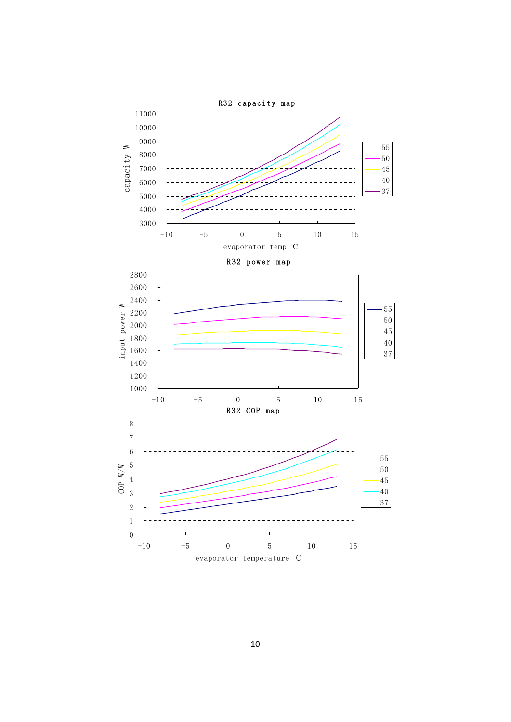